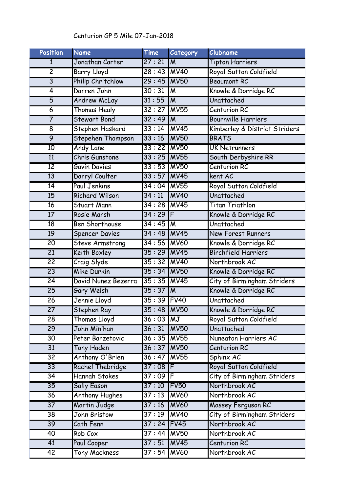## Centurion GP 5 Mile 07-Jan-2018

| <b>Position</b> | <b>Name</b>            | Time         | Category                | Clubname                      |
|-----------------|------------------------|--------------|-------------------------|-------------------------------|
| 1               | Jonathan Carter        | 27:21        | IΜ                      | <b>Tipton Harriers</b>        |
| $\overline{2}$  | <b>Barry Lloyd</b>     | $28:43$ MV40 |                         | Royal Sutton Coldfield        |
| $\overline{3}$  | Philip Chritchlow      | 29:45        | <b>MV50</b>             | <b>Beaumont RC</b>            |
| $\overline{4}$  | Darren John            | 30:31        | IМ                      | Knowle & Dorridge RC          |
| $\overline{5}$  | <b>Andrew McLay</b>    | 31:55        | $\overline{M}$          | Unattached                    |
| $\overline{6}$  | Thomas Healy           | 32:27        | <b>MV55</b>             | Centurion RC                  |
| $\overline{7}$  | <b>Stewart Bond</b>    | 32:49        | ΙM                      | <b>Bournville Harriers</b>    |
| $\overline{8}$  | Stephen Haskard        | 33:14        | MV45                    | Kimberley & District Striders |
| $\overline{9}$  | Stepehen Thompson      | 33:16        | <b>MV50</b>             | <b>BRATS</b>                  |
| 10              | <b>Andy Lane</b>       | 33:22        | <b>MV50</b>             | <b>UK Netrunners</b>          |
| 11              | Chris Gunstone         | 33:25        | MV55                    | South Derbyshire RR           |
| $\overline{12}$ | <b>Gavin Davies</b>    | 33:53        | <b>MV50</b>             | Centurion RC                  |
| 13              | Darryl Coulter         | 33:57        | MV45                    | kent AC                       |
| 14              | <b>Paul Jenkins</b>    | 34:04 MV55   |                         | Royal Sutton Coldfield        |
| 15              | Richard Wilson         | 34:11        | <b>MV40</b>             | Unattached                    |
| 16              | <b>Stuart Mann</b>     | 34:28 MV45   |                         | <b>Titan Triathlon</b>        |
| 17              | Rosie Marsh            | 34:29        | $\overline{\mathsf{F}}$ | Knowle & Dorridge RC          |
| $\overline{18}$ | <b>Ben Shorthouse</b>  | 34:45        | IΜ                      | Unattached                    |
| 19              | <b>Spencer Davies</b>  | 34:48 MV45   |                         | <b>New Forest Runners</b>     |
| $\overline{20}$ | <b>Steve Armstrong</b> | $34:56$ MV60 |                         | Knowle & Dorridge RC          |
| $\overline{21}$ | Keith Boxley           | 35:29        | MV45                    | <b>Birchfield Harriers</b>    |
| $\overline{22}$ | Craig Slyde            | $35:32$ MV40 |                         | Northbrook AC                 |
| $\overline{23}$ | Mike Durkin            | $35:34$ MV50 |                         | Knowle & Dorridge RC          |
| $\overline{24}$ | David Nunez Bezerra    | $35:35$ MV45 |                         | City of Birmingham Striders   |
| $\overline{25}$ | Gary Welsh             | 35:37        | Iм                      | Knowle & Dorridge RC          |
| $\overline{26}$ | Jennie Lloyd           | 35:39 FV40   |                         | Unattached                    |
| $\overline{27}$ | Stephen Ray            | 35:48 MV50   |                         | Knowle & Dorridge RC          |
| $\overline{28}$ | <b>Thomas Lloyd</b>    | $36:03$ MJ   |                         | Royal Sutton Coldfield        |
| $\overline{29}$ | John Minihan           | 36:31        | <b>MV50</b>             | Unattached                    |
| 30              | Peter Barzetovic       | $36:35$ MV55 |                         | Nuneaton Harriers AC          |
| $\overline{31}$ | <b>Tony Haden</b>      | $36:37$ MV50 |                         | Centurion RC                  |
| $\overline{32}$ | Anthony O'Brien        | 36:47        | MV55                    | Sphinx AC                     |
| $\overline{33}$ | Rachel Thebridge       | $37:08$ F    |                         | Royal Sutton Coldfield        |
| $\overline{34}$ | Hannah Stokes          | $37:09$ F    |                         | City of Birmingham Striders   |
| 35              | <b>Sally Eason</b>     | 37:10        | FV <sub>50</sub>        | Northbrook AC                 |
| 36              | <b>Anthony Hughes</b>  | 37:13        | <b>MV60</b>             | Northbrook AC                 |
| $\overline{37}$ | <b>Martin Judge</b>    | 37:16        | <b>MV60</b>             | Massey Ferguson RC            |
| $\overline{38}$ | John Bristow           | 37:19        | <b>MV40</b>             | City of Birmingham Striders   |
| $\overline{39}$ | Cath Fenn              | 37:24        | FV45                    | Northbrook AC                 |
| 40              | Rob Cox                | $37:44$ MV50 |                         | Northbrook AC                 |
| 41              | Paul Cooper            | 37:51        | <b>MV45</b>             | Centurion RC                  |
| 42              | <b>Tony Mackness</b>   | $37:54$ MV60 |                         | Northbrook AC                 |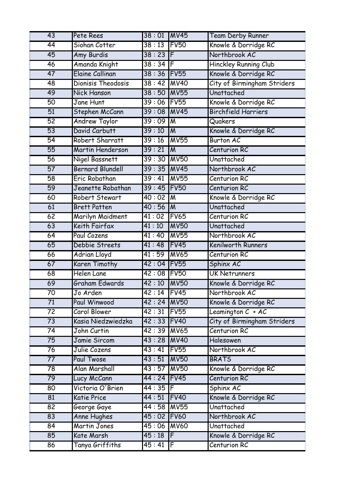| 43              | Pete Rees               | $38:01$ MV45 |                  | <b>Team Derby Runner</b>    |
|-----------------|-------------------------|--------------|------------------|-----------------------------|
| 44              | Siohan Cotter           | 38:13        | FV <sub>50</sub> | Knowle & Dorridge RC        |
| $\overline{45}$ | Amy Burdis              | 38:23        | IF               | Northbrook AC               |
| 46              | Amanda Knight           | $38:34$ F    |                  | Hinckley Running Club       |
| 47              | Elaine Callinan         | 38:36        | FV55             | Knowle & Dorridge RC        |
| 48              | Dionisis Theodosis      | 38:42        | <b>MV40</b>      | City of Birmingham Striders |
| 49              | <b>Nick Hanson</b>      | 38:50        | MV55             | Unattached                  |
| $\overline{50}$ | Jane Hunt               | 39:06        | FV55             | Knowle & Dorridge RC        |
| $\overline{51}$ | Stephen McCann          | 39:08        | MV45             | <b>Birchfield Harriers</b>  |
| 52              | <b>Andrew Taylor</b>    | 39:09        | Iм               | Quakers                     |
| 53              | David Carbutt           | 39:10        | <b>I</b> M       | Knowle & Dorridge RC        |
| $\overline{54}$ | Robert Sharratt         | 39:16        | MV55             | <b>Burton AC</b>            |
| 55              | Martin Henderson        | 39:21        | M                | Centurion RC                |
| 56              | Nigel Bassnett          | 39:30        | M <sub>0</sub>   | Unattached                  |
| 57              | <b>Bernard Blundell</b> | $39:35$ MV45 |                  | Northbrook AC               |
| $\overline{58}$ | Eric Robathan           | 39:41        | <b>MV55</b>      | Centurion RC                |
| 59              | Jeanette Robathan       | 39:45        | FV50             | Centurion RC                |
| 60              | Robert Stewart          | 40:02        | IΜ               | Knowle & Dorridge RC        |
| 61              | <b>Brett Patten</b>     | 40:56        | <b>IM</b>        | Unattached                  |
| 62              | Marilyn Maidment        | 41:02        | FV65             | Centurion RC                |
| 63              | Keith Fairfax           | 41:10        | <b>MV50</b>      | Unattached                  |
| 64              | <b>Paul Cozens</b>      | 41:40        | <b>MV55</b>      | Northbrook AC               |
| 65              | Debbie Streets          | 41:48        | FV45             | Kenilworth Runners          |
| 66              | <b>Adrian Lloyd</b>     | 41:59        | <b>MV65</b>      | Centurion RC                |
| 67              | Karen Timothy           | 42:04        | FV55             | Sphinx AC                   |
| 68              | Helen Lane              | 42:08 FV50   |                  | <b>UK Netrunners</b>        |
| 69              | Graham Edwards          | 42:10        | <b>MV50</b>      | Knowle & Dorridge RC        |
| 70              | Jo Arden                | 42:14 FV45   |                  | Northbrook AC               |
| $\overline{71}$ | Paul Winwood            | $42:24$ MV50 |                  | Knowle & Dorridge RC        |
| $\overline{72}$ | Carol Blower            | 42:31        | FV55             | Leamington $C + AC$         |
| $\overline{73}$ | Kasia Niedzwiedzka      | 42:33 FV40   |                  | City of Birmingham Striders |
| $\overline{74}$ | John Curtin             | 42:39 MV65   |                  | Centurion RC                |
| 75              | Jamie Sircom            | 43:28 MV40   |                  | Halesowen                   |
| $\overline{76}$ | Julie Cozens            | 43:41        | FV55             | Northbrook AC               |
| $\overline{77}$ | Paul Twose              | 43:51        | <b>MV50</b>      | <b>BRATS</b>                |
| $\overline{78}$ | Alan Marshall           | 43:57        | <b>MV50</b>      | Knowle & Dorridge RC        |
| $\overline{79}$ | Lucy McCann             | 44 : 24 FV45 |                  | Centurion RC                |
| 80              | Victoria O'Brien        | $44:35$ F    |                  | Sphinx AC                   |
| 81              | <b>Katie Price</b>      | 44:51        | FV40             | Knowle & Dorridge RC        |
| $\overline{82}$ | George Gaye             | 44:58 MV55   |                  | Unattached                  |
| 83              | Anne Hughes             | 45:02 FV60   |                  | Northbrook AC               |
| 84              | <b>Martin Jones</b>     | 45:06        | <b>MV60</b>      | Unattached                  |
| 85              | Kate Marsh              | 45:18        | IF               | Knowle & Dorridge RC        |
| 86              | Tanya Griffiths         | 45 : 41      | IF               | Centurion RC                |